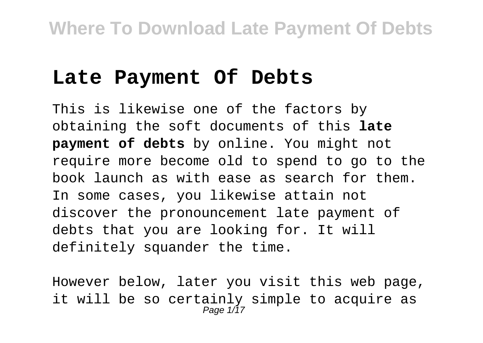### **Late Payment Of Debts**

This is likewise one of the factors by obtaining the soft documents of this **late payment of debts** by online. You might not require more become old to spend to go to the book launch as with ease as search for them. In some cases, you likewise attain not discover the pronouncement late payment of debts that you are looking for. It will definitely squander the time.

However below, later you visit this web page, it will be so certainly simple to acquire as<br>Page 1/17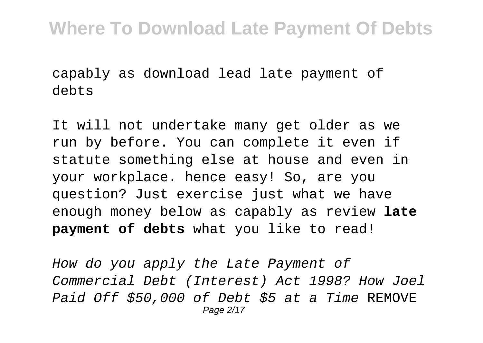capably as download lead late payment of debts

It will not undertake many get older as we run by before. You can complete it even if statute something else at house and even in your workplace. hence easy! So, are you question? Just exercise just what we have enough money below as capably as review **late payment of debts** what you like to read!

How do you apply the Late Payment of Commercial Debt (Interest) Act 1998? How Joel Paid Off \$50,000 of Debt \$5 at a Time REMOVE Page 2/17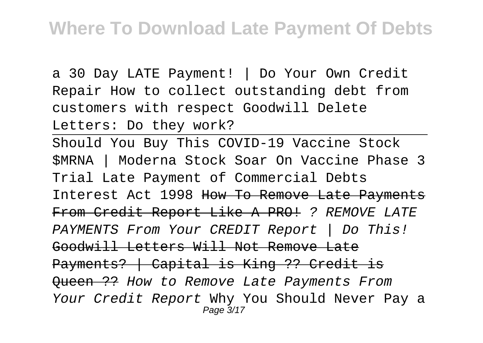a 30 Day LATE Payment! | Do Your Own Credit Repair How to collect outstanding debt from customers with respect Goodwill Delete Letters: Do they work?

Should You Buy This COVID-19 Vaccine Stock \$MRNA | Moderna Stock Soar On Vaccine Phase 3 Trial Late Payment of Commercial Debts Interest Act 1998 How To Remove Late Payments From Credit Report Like A PRO! ? REMOVE LATE PAYMENTS From Your CREDIT Report | Do This! Goodwill Letters Will Not Remove Late Payments? | Capital is King ?? Credit is Oueen ?? How to Remove Late Payments From Your Credit Report Why You Should Never Pay a Page 3/17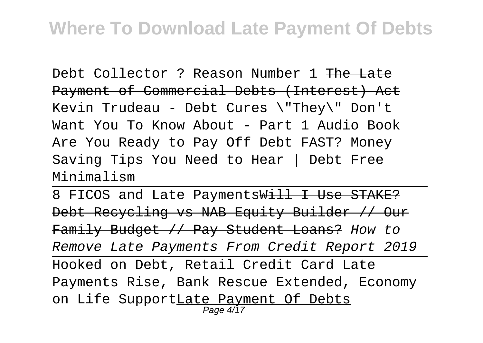Debt Collector ? Reason Number 1 The Late Payment of Commercial Debts (Interest) Act Kevin Trudeau - Debt Cures \"They\" Don't Want You To Know About - Part 1 Audio Book Are You Ready to Pay Off Debt FAST? Money Saving Tips You Need to Hear | Debt Free Minimalism

8 FICOS and Late PaymentsWill I Use STAKE? Debt Recycling vs NAB Equity Builder // Our Family Budget // Pay Student Loans? How to Remove Late Payments From Credit Report 2019 Hooked on Debt, Retail Credit Card Late Payments Rise, Bank Rescue Extended, Economy on Life SupportLate Payment Of Debts Page 4/17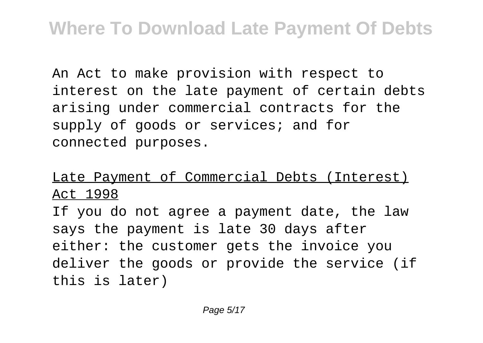An Act to make provision with respect to interest on the late payment of certain debts arising under commercial contracts for the supply of goods or services; and for connected purposes.

Late Payment of Commercial Debts (Interest) Act 1998

If you do not agree a payment date, the law says the payment is late 30 days after either: the customer gets the invoice you deliver the goods or provide the service (if this is later)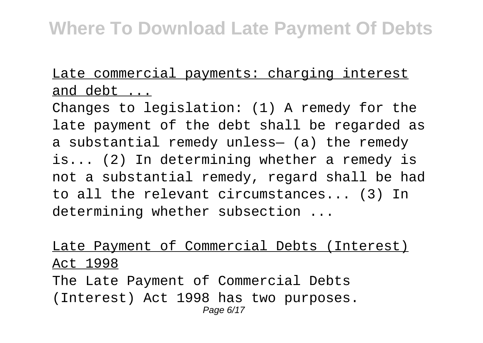Late commercial payments: charging interest and debt ...

Changes to legislation: (1) A remedy for the late payment of the debt shall be regarded as a substantial remedy unless— (a) the remedy is... (2) In determining whether a remedy is not a substantial remedy, regard shall be had to all the relevant circumstances... (3) In determining whether subsection ...

Late Payment of Commercial Debts (Interest) Act 1998 The Late Payment of Commercial Debts (Interest) Act 1998 has two purposes. Page 6/17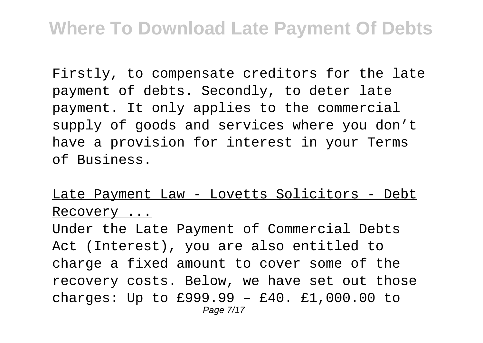Firstly, to compensate creditors for the late payment of debts. Secondly, to deter late payment. It only applies to the commercial supply of goods and services where you don't have a provision for interest in your Terms of Business.

#### Late Payment Law - Lovetts Solicitors - Debt Recovery ...

Under the Late Payment of Commercial Debts Act (Interest), you are also entitled to charge a fixed amount to cover some of the recovery costs. Below, we have set out those charges: Up to £999.99 – £40. £1,000.00 to Page 7/17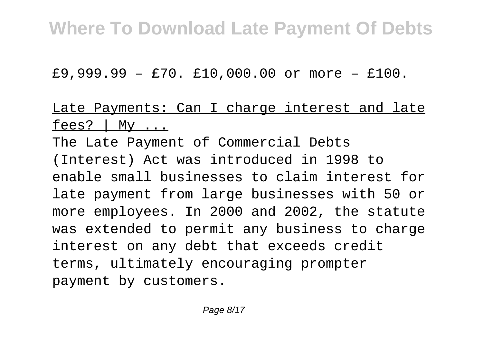£9,999.99 – £70. £10,000.00 or more – £100.

#### Late Payments: Can I charge interest and late fees?  $\vert$  My  $\ldots$

The Late Payment of Commercial Debts (Interest) Act was introduced in 1998 to enable small businesses to claim interest for late payment from large businesses with 50 or more employees. In 2000 and 2002, the statute was extended to permit any business to charge interest on any debt that exceeds credit terms, ultimately encouraging prompter payment by customers.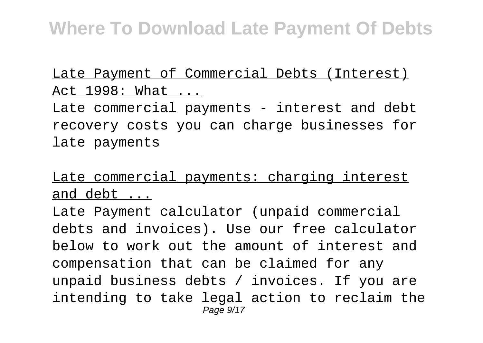#### Late Payment of Commercial Debts (Interest) Act 1998: What ...

Late commercial payments - interest and debt recovery costs you can charge businesses for late payments

### Late commercial payments: charging interest and debt ...

Late Payment calculator (unpaid commercial debts and invoices). Use our free calculator below to work out the amount of interest and compensation that can be claimed for any unpaid business debts / invoices. If you are intending to take legal action to reclaim the Page  $9/17$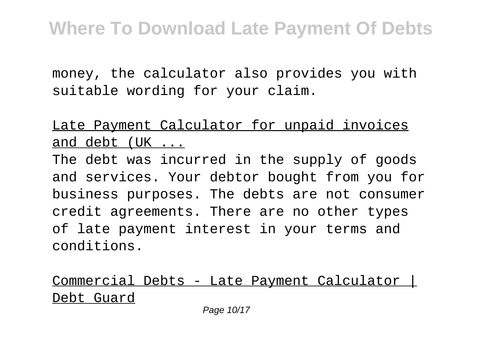money, the calculator also provides you with suitable wording for your claim.

Late Payment Calculator for unpaid invoices and debt (UK ...

The debt was incurred in the supply of goods and services. Your debtor bought from you for business purposes. The debts are not consumer credit agreements. There are no other types of late payment interest in your terms and conditions.

Commercial Debts - Late Payment Calculator | Debt Guard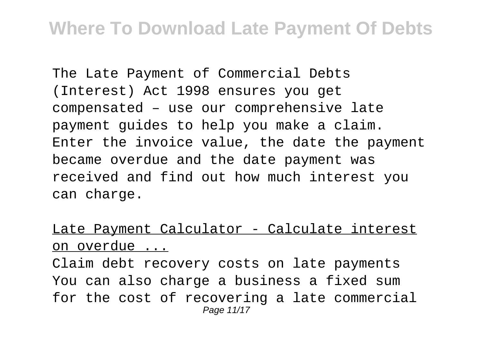The Late Payment of Commercial Debts (Interest) Act 1998 ensures you get compensated – use our comprehensive late payment guides to help you make a claim. Enter the invoice value, the date the payment became overdue and the date payment was received and find out how much interest you can charge.

#### Late Payment Calculator - Calculate interest on overdue ...

Claim debt recovery costs on late payments You can also charge a business a fixed sum for the cost of recovering a late commercial Page 11/17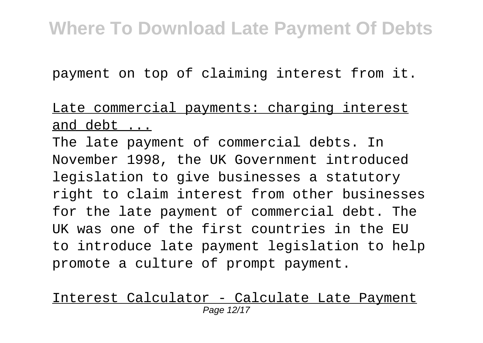payment on top of claiming interest from it.

#### Late commercial payments: charging interest and debt ...

The late payment of commercial debts. In November 1998, the UK Government introduced legislation to give businesses a statutory right to claim interest from other businesses for the late payment of commercial debt. The UK was one of the first countries in the EU to introduce late payment legislation to help promote a culture of prompt payment.

#### Interest Calculator - Calculate Late Payment Page 12/17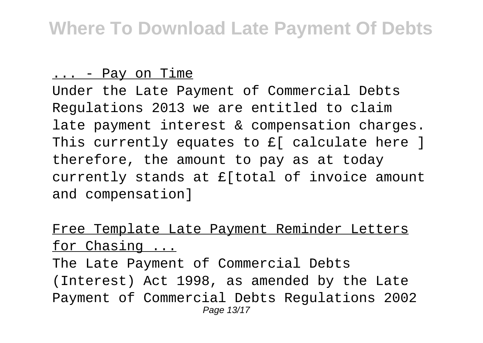#### ... - Pay on Time

Under the Late Payment of Commercial Debts Regulations 2013 we are entitled to claim late payment interest & compensation charges. This currently equates to £[ calculate here ] therefore, the amount to pay as at today currently stands at £[total of invoice amount and compensation]

#### Free Template Late Payment Reminder Letters for Chasing ...

The Late Payment of Commercial Debts (Interest) Act 1998, as amended by the Late Payment of Commercial Debts Regulations 2002 Page 13/17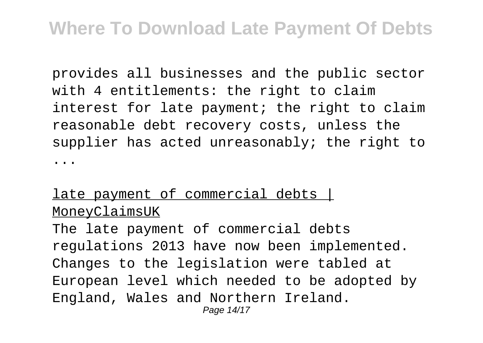provides all businesses and the public sector with 4 entitlements: the right to claim interest for late payment; the right to claim reasonable debt recovery costs, unless the supplier has acted unreasonably; the right to ...

#### late payment of commercial debts | MoneyClaimsUK

The late payment of commercial debts regulations 2013 have now been implemented. Changes to the legislation were tabled at European level which needed to be adopted by England, Wales and Northern Ireland. Page 14/17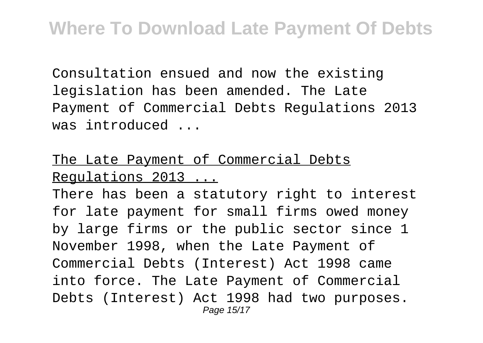Consultation ensued and now the existing legislation has been amended. The Late Payment of Commercial Debts Regulations 2013 was introduced ...

### The Late Payment of Commercial Debts Regulations 2013 ...

There has been a statutory right to interest for late payment for small firms owed money by large firms or the public sector since 1 November 1998, when the Late Payment of Commercial Debts (Interest) Act 1998 came into force. The Late Payment of Commercial Debts (Interest) Act 1998 had two purposes. Page 15/17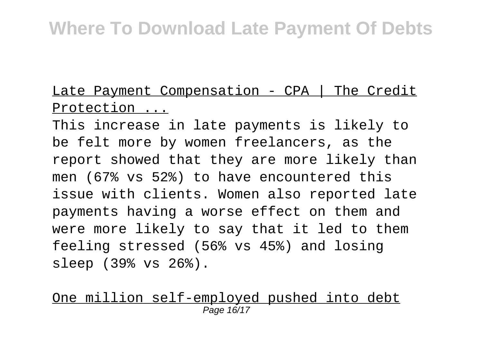Late Payment Compensation - CPA | The Credit Protection ...

This increase in late payments is likely to be felt more by women freelancers, as the report showed that they are more likely than men (67% vs 52%) to have encountered this issue with clients. Women also reported late payments having a worse effect on them and were more likely to say that it led to them feeling stressed (56% vs 45%) and losing sleep (39% vs 26%).

One million self-employed pushed into debt Page 16/17